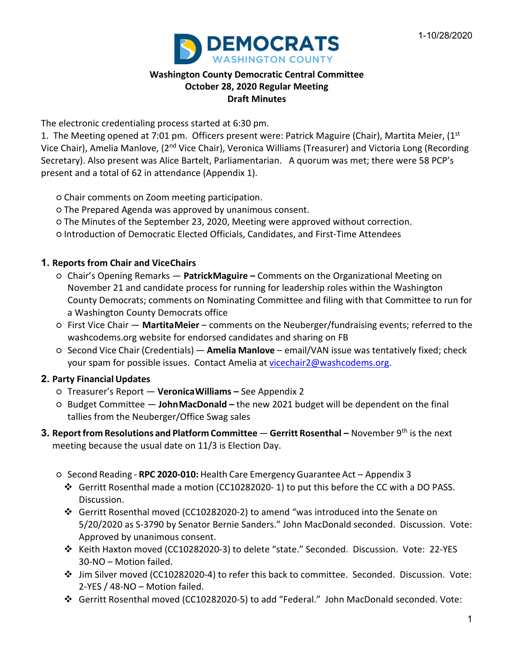

## **Washington County Democratic Central Committee October 28, 2020 Regular Meeting Draft Minutes**

The electronic credentialing process started at 6:30 pm.

1. The Meeting opened at 7:01 pm. Officers present were: Patrick Maguire (Chair), Martita Meier,  $(1^{st}$ Vice Chair), Amelia Manlove, (2<sup>nd</sup> Vice Chair), Veronica Williams (Treasurer) and Victoria Long (Recording Secretary). Also present was Alice Bartelt, Parliamentarian. A quorum was met; there were 58 PCP's present and a total of 62 in attendance (Appendix 1).

- Chair comments on Zoom meeting participation.
- The Prepared Agenda was approved by unanimous consent.
- The Minutes of the September 23, 2020, Meeting were approved without correction.
- Introduction of Democratic Elected Officials, Candidates, and First-Time Attendees

## **1. Reports from Chair and ViceChairs**

- Chair's Opening Remarks **PatrickMaguire –** Comments on the Organizational Meeting on November 21 and candidate process for running for leadership roles within the Washington County Democrats; comments on Nominating Committee and filing with that Committee to run for a Washington County Democrats office
- First Vice Chair **MartitaMeier** comments on the Neuberger/fundraising events; referred to the washcodems.org website for endorsed candidates and sharing on FB
- Second Vice Chair (Credentials) **Amelia Manlove** email/VAN issue was tentatively fixed; check your spam for possible issues. Contact Amelia at [vicechair2@washcodems.org.](mailto:vicechair2@washcodems.org)

## **2. Party Financial Updates**

- Treasurer's Report **VeronicaWilliams –** See Appendix 2
- Budget Committee **JohnMacDonald –** the new 2021 budget will be dependent on the final tallies from the Neuberger/Office Swag sales
- **3. Reportfrom Resolutions and Platform Committee Gerritt Rosenthal –** November 9th is the next meeting because the usual date on 11/3 is Election Day.
	- Second Reading **RPC 2020-010:** Health Care Emergency Guarantee Act Appendix 3
		- Gerritt Rosenthal made a motion (CC10282020- 1) to put this before the CC with a DO PASS. Discussion.
		- Gerritt Rosenthal moved (CC10282020-2) to amend "was introduced into the Senate on 5/20/2020 as S-3790 by Senator Bernie Sanders." John MacDonald seconded. Discussion. Vote: Approved by unanimous consent.
		- Keith Haxton moved (CC10282020-3) to delete "state." Seconded. Discussion. Vote: 22-YES 30-NO – Motion failed.
		- Jim Silver moved (CC10282020-4) to refer this back to committee. Seconded. Discussion. Vote: 2-YES / 48-NO – Motion failed.
		- Gerritt Rosenthal moved (CC10282020-5) to add "Federal." John MacDonald seconded. Vote: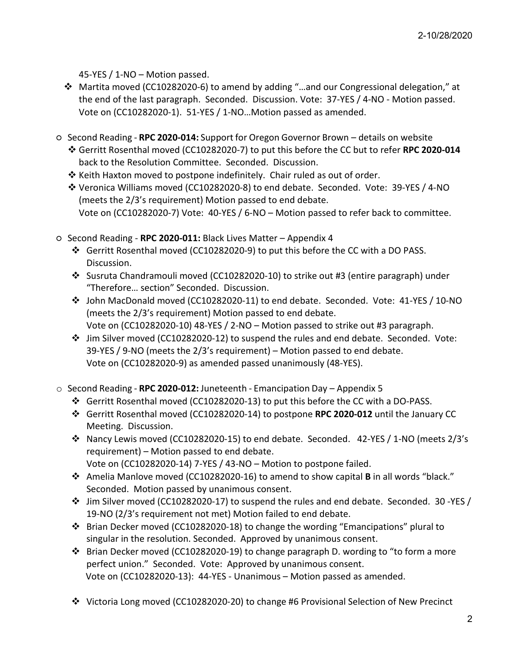45-YES / 1-NO – Motion passed.

- Martita moved (CC10282020-6) to amend by adding "…and our Congressional delegation," at the end of the last paragraph. Seconded. Discussion. Vote: 37-YES / 4-NO - Motion passed. Vote on (CC10282020-1). 51-YES / 1-NO…Motion passed as amended.
- Second Reading **RPC 2020-014:** Support for Oregon Governor Brown details on website Gerritt Rosenthal moved (CC10282020-7) to put this before the CC but to refer **RPC 2020-014** back to the Resolution Committee. Seconded. Discussion.
	- $*$  Keith Haxton moved to postpone indefinitely. Chair ruled as out of order.
	- Veronica Williams moved (CC10282020-8) to end debate. Seconded. Vote: 39-YES / 4-NO (meets the 2/3's requirement) Motion passed to end debate. Vote on (CC10282020-7) Vote: 40-YES / 6-NO – Motion passed to refer back to committee.
- Second Reading **RPC 2020-011:** Black Lives Matter Appendix 4
	- Gerritt Rosenthal moved (CC10282020-9) to put this before the CC with a DO PASS. Discussion.
	- Susruta Chandramouli moved (CC10282020-10) to strike out #3 (entire paragraph) under "Therefore… section" Seconded. Discussion.
	- John MacDonald moved (CC10282020-11) to end debate. Seconded. Vote: 41-YES / 10-NO (meets the 2/3's requirement) Motion passed to end debate. Vote on (CC10282020-10) 48-YES / 2-NO – Motion passed to strike out #3 paragraph.
	- Jim Silver moved (CC10282020-12) to suspend the rules and end debate. Seconded. Vote: 39-YES / 9-NO (meets the 2/3's requirement) – Motion passed to end debate. Vote on (CC10282020-9) as amended passed unanimously (48-YES).
- o Second Reading **RPC 2020-012:** Juneteenth Emancipation Day Appendix 5
	- Gerritt Rosenthal moved (CC10282020-13) to put this before the CC with a DO-PASS.
	- Gerritt Rosenthal moved (CC10282020-14) to postpone **RPC 2020-012** until the January CC Meeting. Discussion.
	- Nancy Lewis moved (CC10282020-15) to end debate. Seconded. 42-YES / 1-NO (meets 2/3's requirement) – Motion passed to end debate. Vote on (CC10282020-14) 7-YES / 43-NO – Motion to postpone failed.
	- Amelia Manlove moved (CC10282020-16) to amend to show capital **B** in all words "black." Seconded. Motion passed by unanimous consent.
	- $\div$  Jim Silver moved (CC10282020-17) to suspend the rules and end debate. Seconded. 30 -YES / 19-NO (2/3's requirement not met) Motion failed to end debate.
	- Brian Decker moved (CC10282020-18) to change the wording "Emancipations" plural to singular in the resolution. Seconded. Approved by unanimous consent.
	- $\div$  Brian Decker moved (CC10282020-19) to change paragraph D. wording to "to form a more perfect union." Seconded. Vote: Approved by unanimous consent. Vote on (CC10282020-13): 44-YES - Unanimous – Motion passed as amended.
	- Victoria Long moved (CC10282020-20) to change #6 Provisional Selection of New Precinct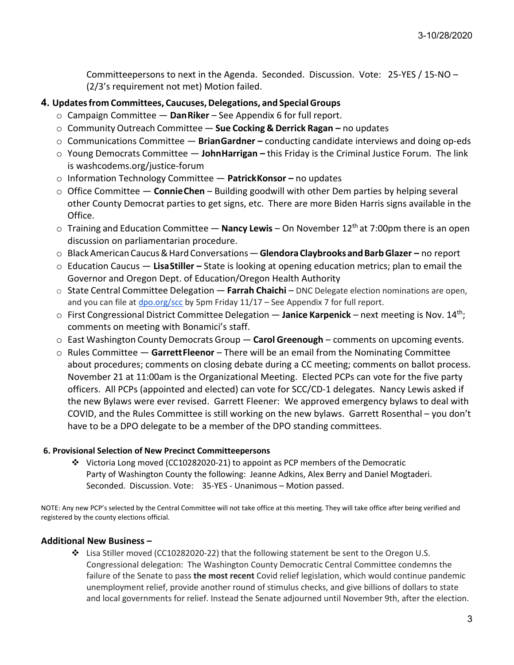Committeepersons to next in the Agenda. Seconded. Discussion. Vote: 25-YES / 15-NO – (2/3's requirement not met) Motion failed.

#### **4. Updatesfrom Committees, Caucuses,Delegations, and SpecialGroups**

- o Campaign Committee **DanRiker** See Appendix 6 for full report.
- o Community Outreach Committee **Sue Cocking & Derrick Ragan –** no updates
- o Communications Committee **BrianGardner –** conducting candidate interviews and doing op-eds
- o Young Democrats Committee **JohnHarrigan –** this Friday is the Criminal Justice Forum. The link is washcodems.org/justice-forum
- o Information Technology Committee **PatrickKonsor –** no updates
- o Office Committee **ConnieChen** Building goodwill with other Dem parties by helping several other County Democrat parties to get signs, etc. There are more Biden Harris signs available in the Office.
- o Training and Education Committee **Nancy Lewis** On November 12th at 7:00pm there is an open discussion on parliamentarian procedure.
- o BlackAmerican Caucus&Hard Conversations—**GlendoraClaybrooks andBarbGlazer –** no report
- o Education Caucus **LisaStiller –** State is looking at opening education metrics; plan to email the Governor and Oregon Dept. of Education/Oregon Health Authority
- o State Central Committee Delegation **Farrah Chaichi** DNC Delegate election nominations are open, and you can file at  $\frac{d}{d}$  [dpo.org/scc](http://dpo.org/scc) by 5pm Friday 11/17 – See Appendix 7 for full report.
- o First Congressional District Committee Delegation **Janice Karpenick** next meeting is Nov. 14th; comments on meeting with Bonamici's staff.
- o East Washington County Democrats Group **Carol Greenough** comments on upcoming events.
- o Rules Committee **GarrettFleenor** There will be an email from the Nominating Committee about procedures; comments on closing debate during a CC meeting; comments on ballot process. November 21 at 11:00am is the Organizational Meeting. Elected PCPs can vote for the five party officers. All PCPs (appointed and elected) can vote for SCC/CD-1 delegates. Nancy Lewis asked if the new Bylaws were ever revised. Garrett Fleener: We approved emergency bylaws to deal with COVID, and the Rules Committee is still working on the new bylaws. Garrett Rosenthal – you don't have to be a DPO delegate to be a member of the DPO standing committees.

#### **6. Provisional Selection of New Precinct Committeepersons**

 Victoria Long moved (CC10282020-21) to appoint as PCP members of the Democratic Party of Washington County the following: Jeanne Adkins, Alex Berry and Daniel Mogtaderi. Seconded. Discussion. Vote: 35-YES - Unanimous – Motion passed.

NOTE: Any new PCP's selected by the Central Committee will not take office at this meeting. They will take office after being verified and registered by the county elections official.

#### **Additional New Business –**

 Lisa Stiller moved (CC10282020-22) that the following statement be sent to the Oregon U.S. Congressional delegation: The Washington County Democratic Central Committee condemns the failure of the Senate to pass **the most recent** Covid relief legislation, which would continue pandemic unemployment relief, provide another round of stimulus checks, and give billions of dollars to state and local governments for relief. Instead the Senate adjourned until November 9th, after the election.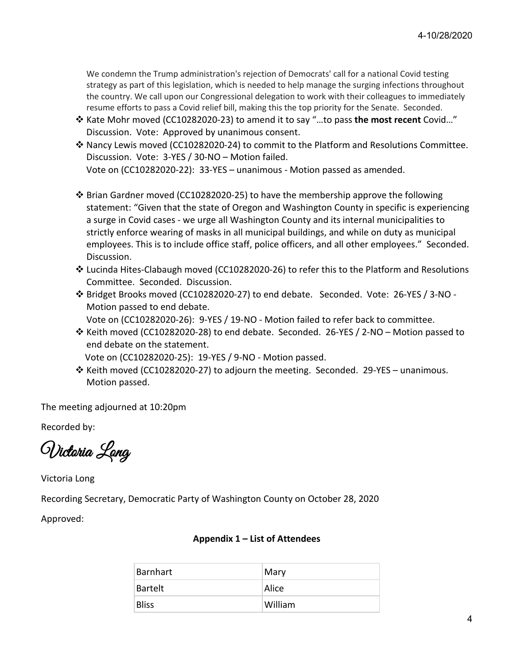We condemn the Trump administration's rejection of Democrats' call for a national Covid testing strategy as part of this legislation, which is needed to help manage the surging infections throughout the country. We call upon our Congressional delegation to work with their colleagues to immediately resume efforts to pass a Covid relief bill, making this the top priority for the Senate. Seconded.

- Kate Mohr moved (CC10282020-23) to amend it to say "…to pass **the most recent** Covid…" Discussion. Vote: Approved by unanimous consent.
- Nancy Lewis moved (CC10282020-24) to commit to the Platform and Resolutions Committee. Discussion. Vote: 3-YES / 30-NO – Motion failed. Vote on (CC10282020-22): 33-YES – unanimous - Motion passed as amended.
- $\cdot$  Brian Gardner moved (CC10282020-25) to have the membership approve the following statement: "Given that the state of Oregon and Washington County in specific is experiencing a surge in Covid cases - we urge all Washington County and its internal municipalities to strictly enforce wearing of masks in all municipal buildings, and while on duty as municipal employees. This is to include office staff, police officers, and all other employees." Seconded. Discussion.
- Lucinda Hites-Clabaugh moved (CC10282020-26) to refer this to the Platform and Resolutions Committee. Seconded. Discussion.
- Bridget Brooks moved (CC10282020-27) to end debate. Seconded. Vote: 26-YES / 3-NO Motion passed to end debate.
	- Vote on (CC10282020-26): 9-YES / 19-NO Motion failed to refer back to committee.
- \* Keith moved (CC10282020-28) to end debate. Seconded. 26-YES / 2-NO Motion passed to end debate on the statement.
	- Vote on (CC10282020-25): 19-YES / 9-NO Motion passed.
- $\div$  Keith moved (CC10282020-27) to adjourn the meeting. Seconded. 29-YES unanimous. Motion passed.

The meeting adjourned at 10:20pm

Recorded by:

Victoria Long

Victoria Long

Recording Secretary, Democratic Party of Washington County on October 28, 2020

Approved:

#### **Appendix 1 – List of Attendees**

| Barnhart       | Mary    |
|----------------|---------|
| <b>Bartelt</b> | Alice   |
| <b>Bliss</b>   | William |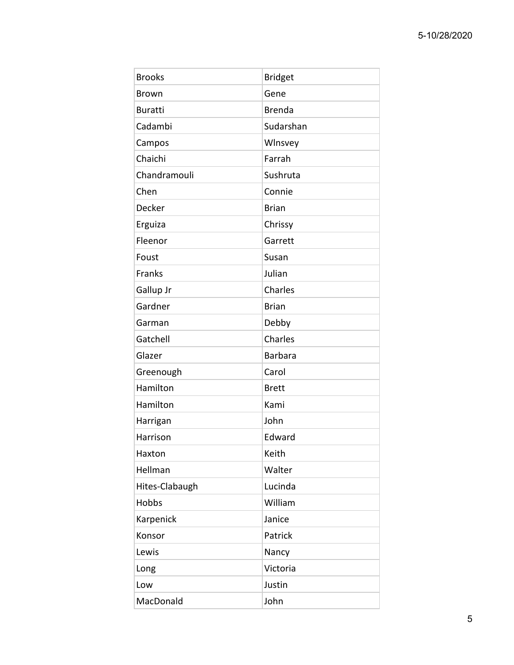| <b>Brooks</b>  | <b>Bridget</b> |
|----------------|----------------|
| <b>Brown</b>   | Gene           |
| <b>Buratti</b> | <b>Brenda</b>  |
| Cadambi        | Sudarshan      |
| Campos         | Wlnsvey        |
| Chaichi        | Farrah         |
| Chandramouli   | Sushruta       |
| Chen           | Connie         |
| Decker         | <b>Brian</b>   |
| Erguiza        | Chrissy        |
| Fleenor        | Garrett        |
| Foust          | Susan          |
| Franks         | Julian         |
| Gallup Jr      | Charles        |
| Gardner        | <b>Brian</b>   |
| Garman         | Debby          |
| Gatchell       | Charles        |
| Glazer         | <b>Barbara</b> |
| Greenough      | Carol          |
| Hamilton       | <b>Brett</b>   |
| Hamilton       | Kami           |
| Harrigan       | John           |
| Harrison       | Edward         |
| Haxton         | Keith          |
| Hellman        | Walter         |
| Hites-Clabaugh | Lucinda        |
| Hobbs          | William        |
| Karpenick      | Janice         |
| Konsor         | Patrick        |
| Lewis          | Nancy          |
| Long           | Victoria       |
| Low            | Justin         |
| MacDonald      | John           |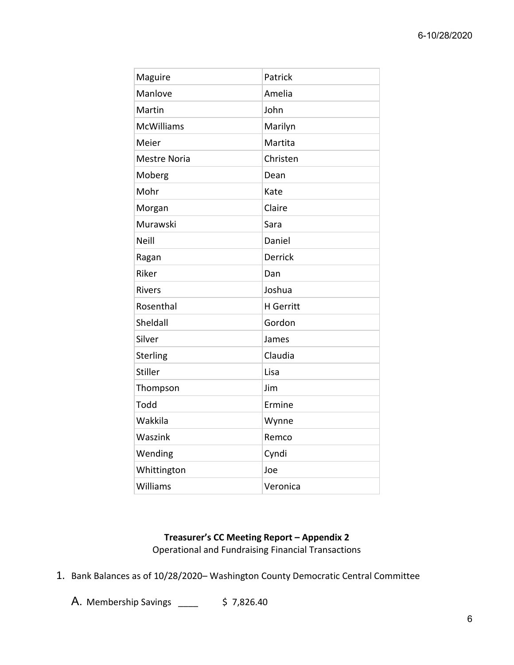| Maguire             | Patrick          |
|---------------------|------------------|
| Manlove             | Amelia           |
| Martin              | John             |
| <b>McWilliams</b>   | Marilyn          |
| Meier               | Martita          |
| <b>Mestre Noria</b> | Christen         |
| Moberg              | Dean             |
| Mohr                | Kate             |
| Morgan              | Claire           |
| Murawski            | Sara             |
| <b>Neill</b>        | Daniel           |
| Ragan               | <b>Derrick</b>   |
| Riker               | Dan              |
| <b>Rivers</b>       | Joshua           |
| Rosenthal           | <b>H</b> Gerritt |
| Sheldall            | Gordon           |
| Silver              | James            |
| Sterling            | Claudia          |
| Stiller             | Lisa             |
| Thompson            | Jim              |
| Todd                | Ermine           |
| Wakkila             | Wynne            |
| Waszink             | Remco            |
| Wending             | Cyndi            |
| Whittington         | Joe              |
| Williams            | Veronica         |

# **Treasurer's CC Meeting Report – Appendix 2**

Operational and Fundraising Financial Transactions

1. Bank Balances as of 10/28/2020– Washington County Democratic Central Committee

A. Membership Savings \_\_\_\_ \$ 7,826.40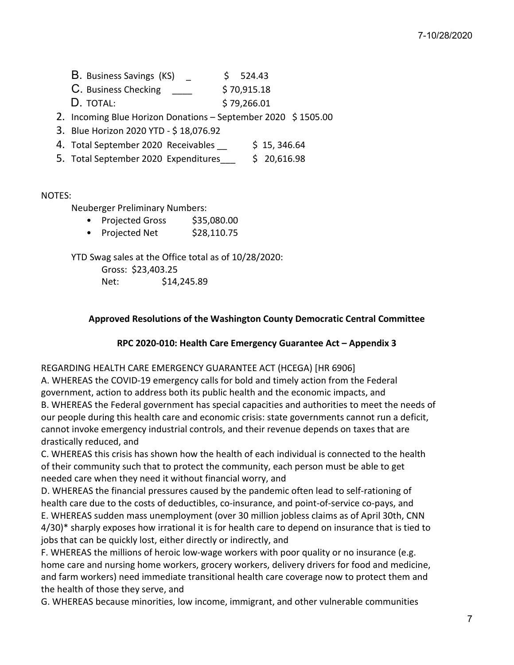- B. Business Savings (KS)  $\qquad \qquad$  \$ 524.43
- $C.$  Business Checking  $$70,915.18$
- D. TOTAL: \$79,266.01
- 2. Incoming Blue Horizon Donations September 2020 \$ 1505.00
- 3. Blue Horizon 2020 YTD \$ 18,076.92
- 4. Total September 2020 Receivables \$ 15, 346.64
- 5. Total September 2020 Expenditures\_\_\_ \$ 20,616.98

#### NOTES:

Neuberger Preliminary Numbers:

- Projected Gross \$35,080.00
- Projected Net \$28,110.75

YTD Swag sales at the Office total as of 10/28/2020:

Gross: \$23,403.25 Net: \$14,245.89

**Approved Resolutions of the Washington County Democratic Central Committee**

## **RPC 2020-010: Health Care Emergency Guarantee Act – Appendix 3**

## REGARDING HEALTH CARE EMERGENCY GUARANTEE ACT (HCEGA) [HR 6906]

A. WHEREAS the COVID-19 emergency calls for bold and timely action from the Federal government, action to address both its public health and the economic impacts, and B. WHEREAS the Federal government has special capacities and authorities to meet the needs of our people during this health care and economic crisis: state governments cannot run a deficit, cannot invoke emergency industrial controls, and their revenue depends on taxes that are drastically reduced, and

C. WHEREAS this crisis has shown how the health of each individual is connected to the health of their community such that to protect the community, each person must be able to get needed care when they need it without financial worry, and

D. WHEREAS the financial pressures caused by the pandemic often lead to self-rationing of health care due to the costs of deductibles, co-insurance, and point-of-service co-pays, and E. WHEREAS sudden mass unemployment (over 30 million jobless claims as of April 30th, CNN 4/30)\* sharply exposes how irrational it is for health care to depend on insurance that is tied to jobs that can be quickly lost, either directly or indirectly, and

F. WHEREAS the millions of heroic low-wage workers with poor quality or no insurance (e.g. home care and nursing home workers, grocery workers, delivery drivers for food and medicine, and farm workers) need immediate transitional health care coverage now to protect them and the health of those they serve, and

G. WHEREAS because minorities, low income, immigrant, and other vulnerable communities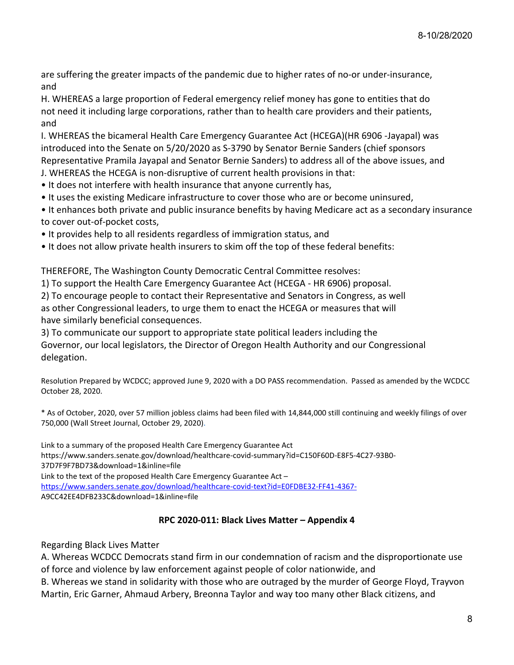are suffering the greater impacts of the pandemic due to higher rates of no-or under-insurance, and

H. WHEREAS a large proportion of Federal emergency relief money has gone to entities that do not need it including large corporations, rather than to health care providers and their patients, and

I. WHEREAS the bicameral Health Care Emergency Guarantee Act (HCEGA)(HR 6906 -Jayapal) was introduced into the Senate on 5/20/2020 as S-3790 by Senator Bernie Sanders (chief sponsors Representative Pramila Jayapal and Senator Bernie Sanders) to address all of the above issues, and

J. WHEREAS the HCEGA is non-disruptive of current health provisions in that:

• It does not interfere with health insurance that anyone currently has,

- It uses the existing Medicare infrastructure to cover those who are or become uninsured,
- It enhances both private and public insurance benefits by having Medicare act as a secondary insurance to cover out-of-pocket costs,
- It provides help to all residents regardless of immigration status, and
- It does not allow private health insurers to skim off the top of these federal benefits:

THEREFORE, The Washington County Democratic Central Committee resolves:

1) To support the Health Care Emergency Guarantee Act (HCEGA - HR 6906) proposal.

2) To encourage people to contact their Representative and Senators in Congress, as well as other Congressional leaders, to urge them to enact the HCEGA or measures that will have similarly beneficial consequences.

3) To communicate our support to appropriate state political leaders including the Governor, our local legislators, the Director of Oregon Health Authority and our Congressional delegation.

Resolution Prepared by WCDCC; approved June 9, 2020 with a DO PASS recommendation. Passed as amended by the WCDCC October 28, 2020.

\* As of October, 2020, over 57 million jobless claims had been filed with 14,844,000 still continuing and weekly filings of over 750,000 (Wall Street Journal, October 29, 2020).

Link to a summary of the proposed Health Care Emergency Guarantee Act https://www.sanders.senate.gov/download/healthcare-covid-summary?id=C150F60D-E8F5-4C27-93B0- 37D7F9F7BD73&download=1&inline=file Link to the text of the proposed Health Care Emergency Guarantee Act – [https://www.sanders.senate.gov/download/healthcare-covid-](https://www.sanders.senate.gov/download/healthcare-covid-text?id=E0FDBE32-FF41-4367-)text?id=E0FDBE32-FF41-4367- A9CC42EE4DFB233C&download=1&inline=file

# **RPC 2020-011: Black Lives Matter – Appendix 4**

Regarding Black Lives Matter

A. Whereas WCDCC Democrats stand firm in our condemnation of racism and the disproportionate use of force and violence by law enforcement against people of color nationwide, and

B. Whereas we stand in solidarity with those who are outraged by the murder of George Floyd, Trayvon Martin, Eric Garner, Ahmaud Arbery, Breonna Taylor and way too many other Black citizens, and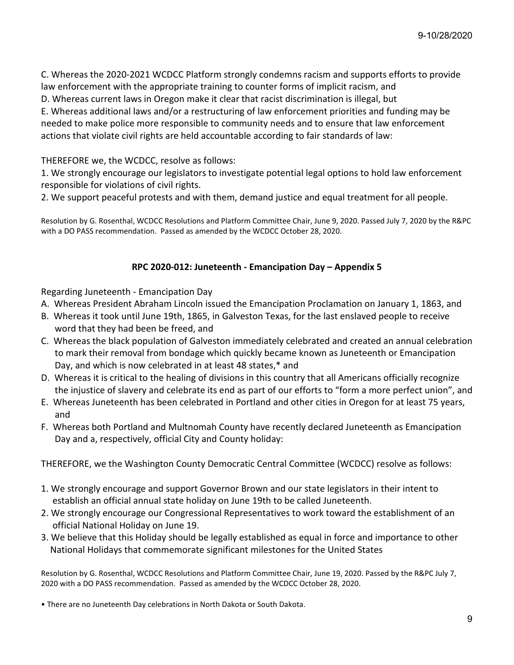C. Whereas the 2020-2021 WCDCC Platform strongly condemns racism and supports efforts to provide law enforcement with the appropriate training to counter forms of implicit racism, and

D. Whereas current laws in Oregon make it clear that racist discrimination is illegal, but

E. Whereas additional laws and/or a restructuring of law enforcement priorities and funding may be needed to make police more responsible to community needs and to ensure that law enforcement actions that violate civil rights are held accountable according to fair standards of law:

# THEREFORE we, the WCDCC, resolve as follows:

1. We strongly encourage our legislators to investigate potential legal options to hold law enforcement responsible for violations of civil rights.

2. We support peaceful protests and with them, demand justice and equal treatment for all people.

Resolution by G. Rosenthal, WCDCC Resolutions and Platform Committee Chair, June 9, 2020. Passed July 7, 2020 by the R&PC with a DO PASS recommendation. Passed as amended by the WCDCC October 28, 2020.

# **RPC 2020-012: Juneteenth - Emancipation Day – Appendix 5**

Regarding Juneteenth - Emancipation Day

- A. Whereas President Abraham Lincoln issued the Emancipation Proclamation on January 1, 1863, and
- B. Whereas it took until June 19th, 1865, in Galveston Texas, for the last enslaved people to receive word that they had been be freed, and
- C. Whereas the black population of Galveston immediately celebrated and created an annual celebration to mark their removal from bondage which quickly became known as Juneteenth or Emancipation Day, and which is now celebrated in at least 48 states,\* and
- D. Whereas it is critical to the healing of divisions in this country that all Americans officially recognize the injustice of slavery and celebrate its end as part of our efforts to "form a more perfect union", and
- E. Whereas Juneteenth has been celebrated in Portland and other cities in Oregon for at least 75 years, and
- F. Whereas both Portland and Multnomah County have recently declared Juneteenth as Emancipation Day and a, respectively, official City and County holiday:

THEREFORE, we the Washington County Democratic Central Committee (WCDCC) resolve as follows:

- 1. We strongly encourage and support Governor Brown and our state legislators in their intent to establish an official annual state holiday on June 19th to be called Juneteenth.
- 2. We strongly encourage our Congressional Representatives to work toward the establishment of an official National Holiday on June 19.
- 3. We believe that this Holiday should be legally established as equal in force and importance to other National Holidays that commemorate significant milestones for the United States

Resolution by G. Rosenthal, WCDCC Resolutions and Platform Committee Chair, June 19, 2020. Passed by the R&PC July 7, 2020 with a DO PASS recommendation. Passed as amended by the WCDCC October 28, 2020.

• There are no Juneteenth Day celebrations in North Dakota or South Dakota.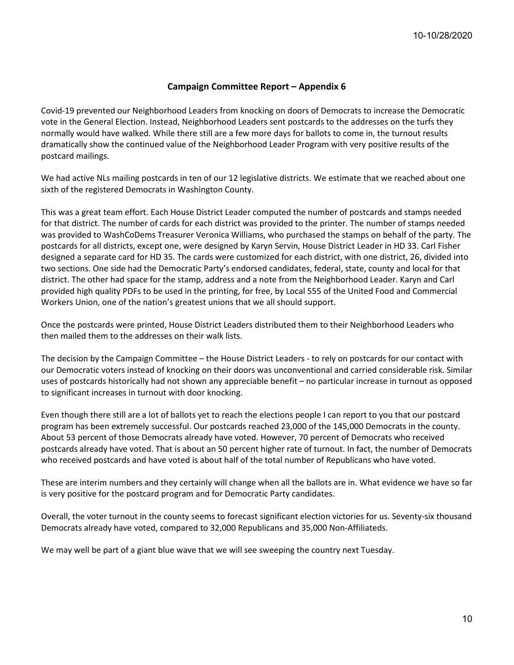#### **Campaign Committee Report – Appendix 6**

Covid-19 prevented our Neighborhood Leaders from knocking on doors of Democrats to increase the Democratic vote in the General Election. Instead, Neighborhood Leaders sent postcards to the addresses on the turfs they normally would have walked. While there still are a few more days for ballots to come in, the turnout results dramatically show the continued value of the Neighborhood Leader Program with very positive results of the postcard mailings.

We had active NLs mailing postcards in ten of our 12 legislative districts. We estimate that we reached about one sixth of the registered Democrats in Washington County.

This was a great team effort. Each House District Leader computed the number of postcards and stamps needed for that district. The number of cards for each district was provided to the printer. The number of stamps needed was provided to WashCoDems Treasurer Veronica Williams, who purchased the stamps on behalf of the party. The postcards for all districts, except one, were designed by Karyn Servin, House District Leader in HD 33. Carl Fisher designed a separate card for HD 35. The cards were customized for each district, with one district, 26, divided into two sections. One side had the Democratic Party's endorsed candidates, federal, state, county and local for that district. The other had space for the stamp, address and a note from the Neighborhood Leader. Karyn and Carl provided high quality PDFs to be used in the printing, for free, by Local 555 of the United Food and Commercial Workers Union, one of the nation's greatest unions that we all should support.

Once the postcards were printed, House District Leaders distributed them to their Neighborhood Leaders who then mailed them to the addresses on their walk lists.

The decision by the Campaign Committee – the House District Leaders - to rely on postcards for our contact with our Democratic voters instead of knocking on their doors was unconventional and carried considerable risk. Similar uses of postcards historically had not shown any appreciable benefit – no particular increase in turnout as opposed to significant increases in turnout with door knocking.

Even though there still are a lot of ballots yet to reach the elections people I can report to you that our postcard program has been extremely successful. Our postcards reached 23,000 of the 145,000 Democrats in the county. About 53 percent of those Democrats already have voted. However, 70 percent of Democrats who received postcards already have voted. That is about an 50 percent higher rate of turnout. In fact, the number of Democrats who received postcards and have voted is about half of the total number of Republicans who have voted.

These are interim numbers and they certainly will change when all the ballots are in. What evidence we have so far is very positive for the postcard program and for Democratic Party candidates.

Overall, the voter turnout in the county seems to forecast significant election victories for us. Seventy-six thousand Democrats already have voted, compared to 32,000 Republicans and 35,000 Non-Affiliateds.

We may well be part of a giant blue wave that we will see sweeping the country next Tuesday.